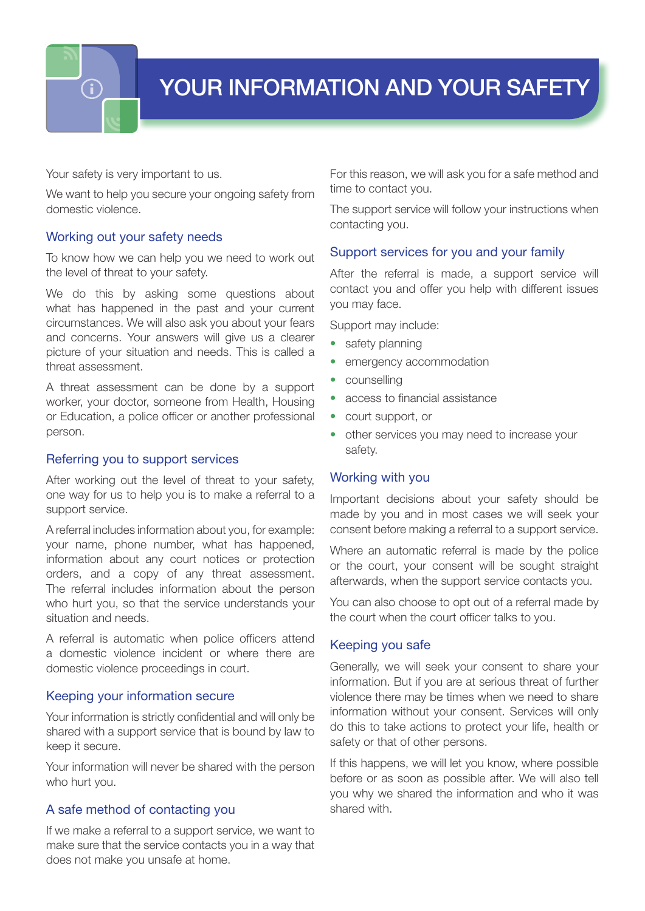

Your safety is very important to us.

We want to help you secure your ongoing safety from domestic violence.

### Working out your safety needs

To know how we can help you we need to work out the level of threat to your safety.

We do this by asking some questions about what has happened in the past and your current circumstances. We will also ask you about your fears and concerns. Your answers will give us a clearer picture of your situation and needs. This is called a threat assessment.

A threat assessment can be done by a support worker, your doctor, someone from Health, Housing or Education, a police officer or another professional person.

#### Referring you to support services

After working out the level of threat to your safety, one way for us to help you is to make a referral to a support service.

A referral includes information about you, for example: your name, phone number, what has happened, information about any court notices or protection orders, and a copy of any threat assessment. The referral includes information about the person who hurt you, so that the service understands your situation and needs.

A referral is automatic when police officers attend a domestic violence incident or where there are domestic violence proceedings in court.

### Keeping your information secure

Your information is strictly confidential and will only be shared with a support service that is bound by law to keep it secure.

Your information will never be shared with the person who hurt you.

### A safe method of contacting you

If we make a referral to a support service, we want to make sure that the service contacts you in a way that does not make you unsafe at home.

For this reason, we will ask you for a safe method and time to contact you.

The support service will follow your instructions when contacting you.

#### Support services for you and your family

After the referral is made, a support service will contact you and offer you help with different issues you may face.

Support may include:

- safety planning
- emergency accommodation
- counselling
- access to financial assistance
- court support, or
- other services you may need to increase your safety.

### Working with you

Important decisions about your safety should be made by you and in most cases we will seek your consent before making a referral to a support service.

Where an automatic referral is made by the police or the court, your consent will be sought straight afterwards, when the support service contacts you.

You can also choose to opt out of a referral made by the court when the court officer talks to you.

### Keeping you safe

Generally, we will seek your consent to share your information. But if you are at serious threat of further violence there may be times when we need to share information without your consent. Services will only do this to take actions to protect your life, health or safety or that of other persons.

If this happens, we will let you know, where possible before or as soon as possible after. We will also tell you why we shared the information and who it was shared with.